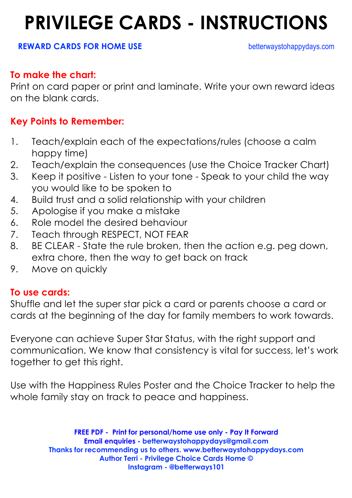### **PRIVILEGE CARDS - INSTRUCTIONS**

#### **REWARD CARDS FOR HOME USE betterwaystohappydays.com**

#### **To make the chart:**

Print on card paper or print and laminate. Write your own reward ideas on the blank cards.

### **Key Points to Remember:**

- 1. Teach/explain each of the expectations/rules (choose a calm happy time)
- 2. Teach/explain the consequences (use the Choice Tracker Chart)
- 3. Keep it positive Listen to your tone Speak to your child the way you would like to be spoken to
- 4. Build trust and a solid relationship with your children
- 5. Apologise if you make a mistake
- 6. Role model the desired behaviour
- 7. Teach through RESPECT, NOT FEAR
- 8. BE CLEAR State the rule broken, then the action e.g. peg down, extra chore, then the way to get back on track
- 9. Move on quickly

#### **To use cards:**

Shuffle and let the super star pick a card or parents choose a card or cards at the beginning of the day for family members to work towards.

Everyone can achieve Super Star Status, with the right support and communication. We know that consistency is vital for success, let's work together to get this right.

Use with the Happiness Rules Poster and the Choice Tracker to help the whole family stay on track to peace and happiness.

> **FREE PDF - Print for personal/home use only - Pay It Forward Email enquiries - betterwaystohappydays@gmail.com Thanks for recommending us to others. www.betterwaystohappydays.com Author Terri - Privilege Choice Cards Home © Instagram - @betterways101**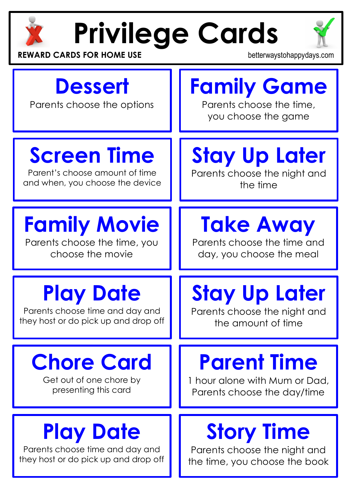

# **Privilege Cards**



**REWARD CARDS FOR HOME USE betterwaystohappydays.com** 

### **Dessert**

Parents choose the options

### **Family Game** Parents choose the time,

you choose the game

# **Screen Time**

Parent's choose amount of time and when, you choose the device

# **Family Movie**

Parents choose the time, you choose the movie

### **Play Date**

Parents choose time and day and they host or do pick up and drop off

# **Chore Card**

Get out of one chore by presenting this card

## **Play Date**

Parents choose time and day and they host or do pick up and drop off

# **Stay Up Later**

Parents choose the night and the time

# **Take Away**

Parents choose the time and day, you choose the meal

# **Stay Up Later**

Parents choose the night and the amount of time

# **Parent Time**

1 hour alone with Mum or Dad, Parents choose the day/time

# **Story Time**

Parents choose the night and the time, you choose the book